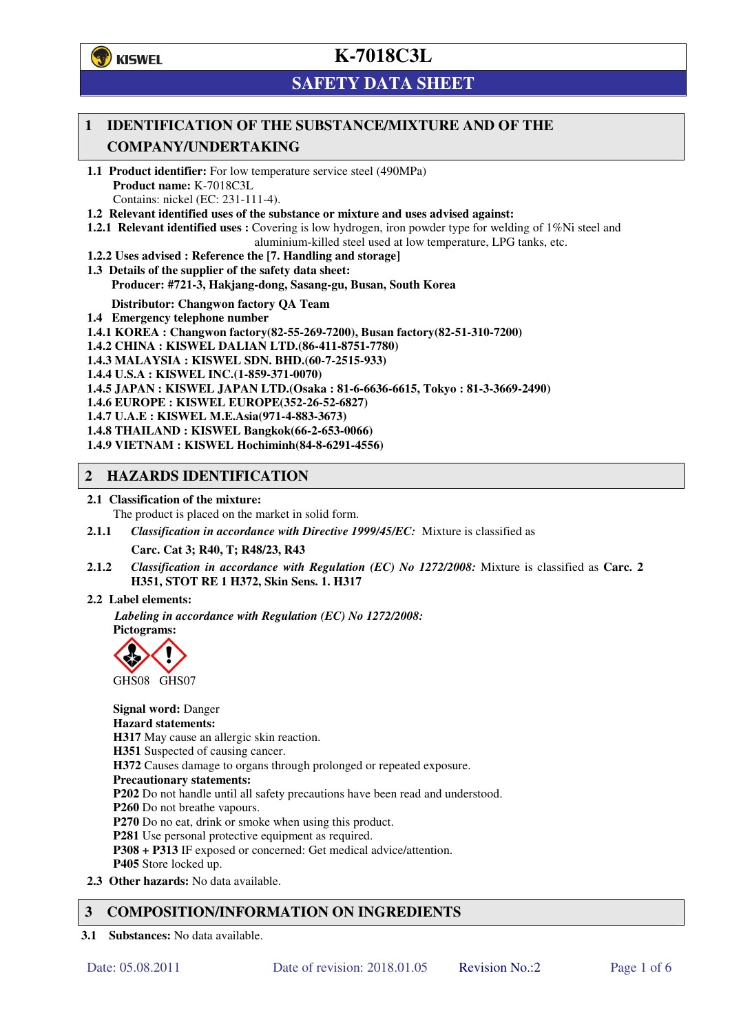**学**)KISWEL

# **K-7018C3L**

## **SAFETY DATA SHEET**

## **1 IDENTIFICATION OF THE SUBSTANCE/MIXTURE AND OF THE COMPANY/UNDERTAKING**

- **1.1 Product identifier:** For low temperature service steel (490MPa) **Product name:** K-7018C3L Contains: nickel (EC: 231-111-4).
- **1.2 Relevant identified uses of the substance or mixture and uses advised against:**
- **1.2.1 Relevant identified uses :** Covering is low hydrogen, iron powder type for welding of 1%Ni steel and aluminium-killed steel used at low temperature, LPG tanks, etc.
- **1.2.2 Uses advised : Reference the [7. Handling and storage]**
- **1.3 Details of the supplier of the safety data sheet: Producer: #721-3, Hakjang-dong, Sasang-gu, Busan, South Korea**

**Distributor: Changwon factory QA Team** 

- **1.4 Emergency telephone number**
- **1.4.1 KOREA : Changwon factory(82-55-269-7200), Busan factory(82-51-310-7200)**
- **1.4.2 CHINA : KISWEL DALIAN LTD.(86-411-8751-7780)**
- **1.4.3 MALAYSIA : KISWEL SDN. BHD.(60-7-2515-933)**
- **1.4.4 U.S.A : KISWEL INC.(1-859-371-0070)**
- **1.4.5 JAPAN : KISWEL JAPAN LTD.(Osaka : 81-6-6636-6615, Tokyo : 81-3-3669-2490)**
- **1.4.6 EUROPE : KISWEL EUROPE(352-26-52-6827)**
- **1.4.7 U.A.E : KISWEL M.E.Asia(971-4-883-3673)**
- **1.4.8 THAILAND : KISWEL Bangkok(66-2-653-0066)**
- **1.4.9 VIETNAM : KISWEL Hochiminh(84-8-6291-4556)**

### **2 HAZARDS IDENTIFICATION**

- **2.1 Classification of the mixture:** 
	- The product is placed on the market in solid form.
- **2.1.1** *Classification in accordance with Directive 1999/45/EC:* Mixture is classified as

**Carc. Cat 3; R40, T; R48/23, R43** 

- **2.1.2** *Classification in accordance with Regulation (EC) No 1272/2008:* Mixture is classified as **Carc. 2 H351, STOT RE 1 H372, Skin Sens. 1. H317**
- **2.2 Label elements:**

*Labeling in accordance with Regulation (EC) No 1272/2008:*  **Pictograms:** 



**Signal word:** Danger **Hazard statements: H317** May cause an allergic skin reaction. **H351** Suspected of causing cancer. **H372** Causes damage to organs through prolonged or repeated exposure. **Precautionary statements: P202** Do not handle until all safety precautions have been read and understood. **P260** Do not breathe vapours. **P270** Do no eat, drink or smoke when using this product. **P281** Use personal protective equipment as required. **P308 + P313** IF exposed or concerned: Get medical advice/attention. **P405** Store locked up. **2.3 Other hazards:** No data available.

## **3 COMPOSITION/INFORMATION ON INGREDIENTS**

**3.1 Substances:** No data available.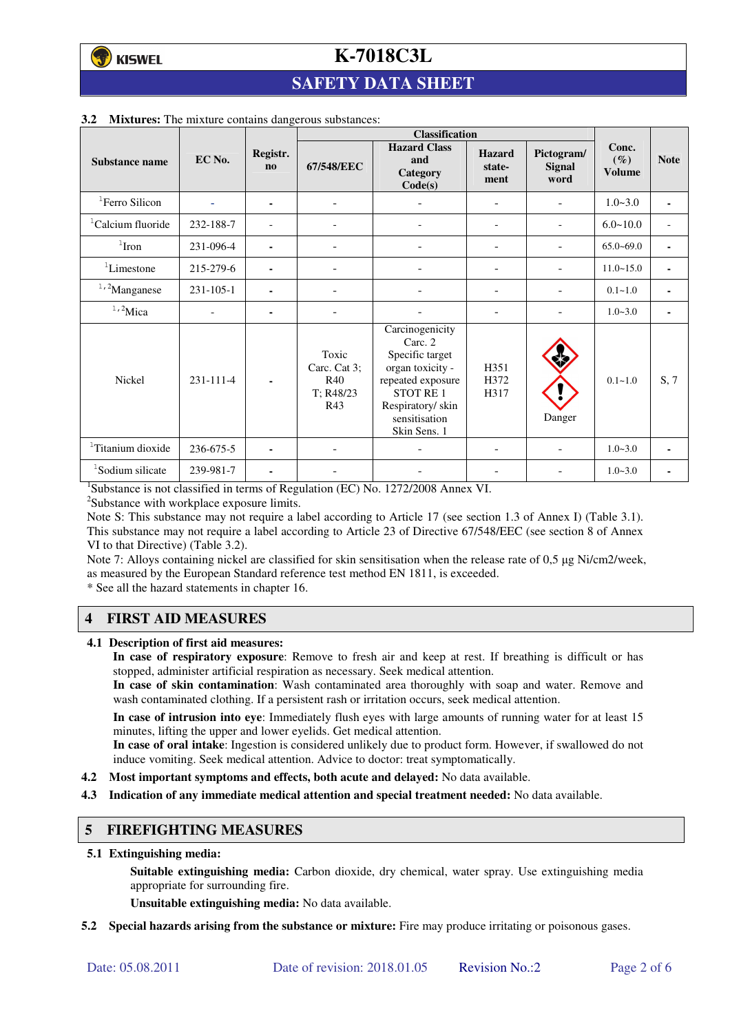# **K-7018C3L**

## **SAFETY DATA SHEET**

|                               |           |                                    | <b>Classification</b>                            |                                                                                                                                                                |                                 |                              |                                  |                          |
|-------------------------------|-----------|------------------------------------|--------------------------------------------------|----------------------------------------------------------------------------------------------------------------------------------------------------------------|---------------------------------|------------------------------|----------------------------------|--------------------------|
| Substance name                | EC No.    | Registr.<br>$\mathbf{n}\mathbf{o}$ | 67/548/EEC                                       | <b>Hazard Class</b><br>and<br>Category<br>Code(s)                                                                                                              | <b>Hazard</b><br>state-<br>ment | Pictogram/<br>Signal<br>word | Conc.<br>$(\%)$<br><b>Volume</b> | <b>Note</b>              |
| <sup>1</sup> Ferro Silicon    |           | ۰                                  | $\overline{\phantom{a}}$                         |                                                                                                                                                                | Ξ.                              |                              | $1.0 - 3.0$                      | $\blacksquare$           |
| <sup>1</sup> Calcium fluoride | 232-188-7 |                                    |                                                  |                                                                                                                                                                | $\overline{a}$                  |                              | $6.0 - 10.0$                     | $\overline{\phantom{a}}$ |
| $1$ Iron                      | 231-096-4 | ۰                                  |                                                  |                                                                                                                                                                |                                 |                              | $65.0 - 69.0$                    | $\blacksquare$           |
| <sup>1</sup> Limestone        | 215-279-6 | ۰                                  | ٠                                                |                                                                                                                                                                | ۰                               |                              | $11.0 - 15.0$                    | ٠                        |
| $1,2$ Manganese               | 231-105-1 |                                    |                                                  |                                                                                                                                                                |                                 | ۰                            | $0.1 - 1.0$                      | $\blacksquare$           |
| $1,2$ Mica                    |           | ۰                                  |                                                  |                                                                                                                                                                |                                 |                              | $1.0 - 3.0$                      | ٠                        |
| Nickel                        | 231-111-4 |                                    | Toxic<br>Carc. Cat 3;<br>R40<br>T: R48/23<br>R43 | Carcinogenicity<br>Carc. 2<br>Specific target<br>organ toxicity -<br>repeated exposure<br><b>STOT RE1</b><br>Respiratory/skin<br>sensitisation<br>Skin Sens. 1 | H351<br>H372<br>H317            | Danger                       | $0.1 - 1.0$                      | S, 7                     |
| <sup>1</sup> Titanium dioxide | 236-675-5 |                                    |                                                  |                                                                                                                                                                |                                 |                              | $1.0 - 3.0$                      | $\blacksquare$           |
| <sup>1</sup> Sodium silicate  | 239-981-7 | ۰                                  |                                                  |                                                                                                                                                                |                                 |                              | $1.0 - 3.0$                      |                          |

#### **3.2 Mixtures:** The mixture contains dangerous substances:

<sup>1</sup>Substance is not classified in terms of Regulation (EC) No. 1272/2008 Annex VI.

<sup>2</sup>Substance with workplace exposure limits.

Note S: This substance may not require a label according to Article 17 (see section 1.3 of Annex I) (Table 3.1). This substance may not require a label according to Article 23 of Directive 67/548/EEC (see section 8 of Annex VI to that Directive) (Table 3.2).

Note 7: Alloys containing nickel are classified for skin sensitisation when the release rate of 0,5 µg Ni/cm2/week, as measured by the European Standard reference test method EN 1811, is exceeded.

\* See all the hazard statements in chapter 16.

## **4 FIRST AID MEASURES**

**4.1 Description of first aid measures:** 

**In case of respiratory exposure**: Remove to fresh air and keep at rest. If breathing is difficult or has stopped, administer artificial respiration as necessary. Seek medical attention.

**In case of skin contamination**: Wash contaminated area thoroughly with soap and water. Remove and wash contaminated clothing. If a persistent rash or irritation occurs, seek medical attention.

 **In case of intrusion into eye**: Immediately flush eyes with large amounts of running water for at least 15 minutes, lifting the upper and lower eyelids. Get medical attention.

**In case of oral intake**: Ingestion is considered unlikely due to product form. However, if swallowed do not induce vomiting. Seek medical attention. Advice to doctor: treat symptomatically.

- **4.2 Most important symptoms and effects, both acute and delayed:** No data available.
- **4.3 Indication of any immediate medical attention and special treatment needed:** No data available.

#### **5 FIREFIGHTING MEASURES**

**5.1 Extinguishing media:** 

**Suitable extinguishing media:** Carbon dioxide, dry chemical, water spray. Use extinguishing media appropriate for surrounding fire.

**Unsuitable extinguishing media:** No data available.

**5.2 Special hazards arising from the substance or mixture:** Fire may produce irritating or poisonous gases.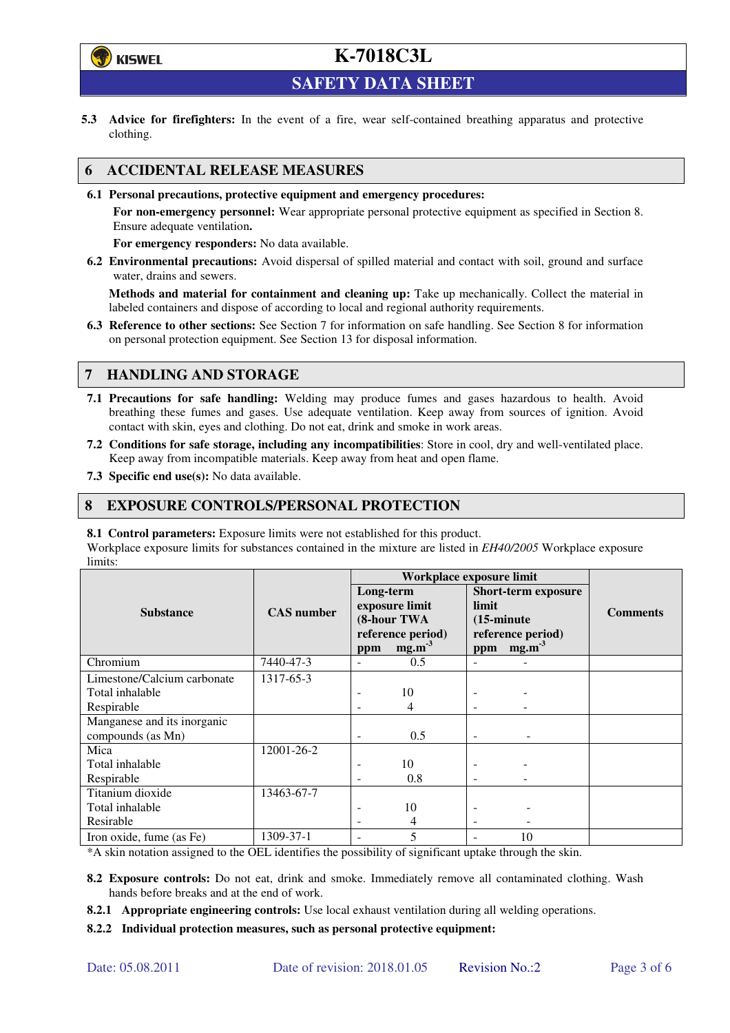

# **K-7018C3L**

**SAFETY DATA SHEET** 

**5.3 Advice for firefighters:** In the event of a fire, wear self-contained breathing apparatus and protective clothing.

## **6 ACCIDENTAL RELEASE MEASURES**

**6.1 Personal precautions, protective equipment and emergency procedures:** 

**For non-emergency personnel:** Wear appropriate personal protective equipment as specified in Section 8. Ensure adequate ventilation**.** 

**For emergency responders:** No data available.

**6.2 Environmental precautions:** Avoid dispersal of spilled material and contact with soil, ground and surface water, drains and sewers.

**Methods and material for containment and cleaning up:** Take up mechanically. Collect the material in labeled containers and dispose of according to local and regional authority requirements.

**6.3 Reference to other sections:** See Section 7 for information on safe handling. See Section 8 for information on personal protection equipment. See Section 13 for disposal information.

## **7 HANDLING AND STORAGE**

- **7.1 Precautions for safe handling:** Welding may produce fumes and gases hazardous to health. Avoid breathing these fumes and gases. Use adequate ventilation. Keep away from sources of ignition. Avoid contact with skin, eyes and clothing. Do not eat, drink and smoke in work areas.
- **7.2 Conditions for safe storage, including any incompatibilities**: Store in cool, dry and well-ventilated place. Keep away from incompatible materials. Keep away from heat and open flame.
- **7.3 Specific end use(s):** No data available.

### **8 EXPOSURE CONTROLS/PERSONAL PROTECTION**

**8.1 Control parameters:** Exposure limits were not established for this product.

Workplace exposure limits for substances contained in the mixture are listed in *EH40/2005* Workplace exposure limits:

|                             | <b>CAS</b> number | Workplace exposure limit                                        |                   |                                                                                  |                   |                 |  |
|-----------------------------|-------------------|-----------------------------------------------------------------|-------------------|----------------------------------------------------------------------------------|-------------------|-----------------|--|
|                             |                   | Long-term<br>exposure limit<br>(8-hour TWA<br>reference period) |                   | <b>Short-term exposure</b><br>limit<br>$(15\text{-minute})$<br>reference period) |                   | <b>Comments</b> |  |
| <b>Substance</b>            |                   |                                                                 |                   |                                                                                  |                   |                 |  |
|                             |                   |                                                                 |                   |                                                                                  |                   |                 |  |
|                             |                   |                                                                 |                   |                                                                                  |                   |                 |  |
|                             |                   | ppm                                                             | mg.m <sup>3</sup> | ppm                                                                              | mg.m <sup>3</sup> |                 |  |
| Chromium                    | 7440-47-3         |                                                                 | 0.5               |                                                                                  |                   |                 |  |
| Limestone/Calcium carbonate | 1317-65-3         |                                                                 |                   |                                                                                  |                   |                 |  |
| Total inhalable             |                   |                                                                 | 10                |                                                                                  |                   |                 |  |
| Respirable                  |                   |                                                                 | 4                 |                                                                                  |                   |                 |  |
| Manganese and its inorganic |                   |                                                                 |                   |                                                                                  |                   |                 |  |
| compounds (as Mn)           |                   |                                                                 | 0.5               |                                                                                  |                   |                 |  |
| Mica                        | 12001-26-2        |                                                                 |                   |                                                                                  |                   |                 |  |
| Total inhalable             |                   |                                                                 | 10                |                                                                                  |                   |                 |  |
| Respirable                  |                   |                                                                 | 0.8               |                                                                                  |                   |                 |  |
| Titanium dioxide            | 13463-67-7        |                                                                 |                   |                                                                                  |                   |                 |  |
| Total inhalable             |                   |                                                                 | 10                |                                                                                  |                   |                 |  |
| Resirable                   |                   |                                                                 | 4                 | $\overline{\phantom{a}}$                                                         |                   |                 |  |
| Iron oxide, fume (as Fe)    | 1309-37-1         |                                                                 | 5                 |                                                                                  | 10                |                 |  |

\*A skin notation assigned to the OEL identifies the possibility of significant uptake through the skin.

- **8.2 Exposure controls:** Do not eat, drink and smoke. Immediately remove all contaminated clothing. Wash hands before breaks and at the end of work.
- **8.2.1 Appropriate engineering controls:** Use local exhaust ventilation during all welding operations.

**8.2.2 Individual protection measures, such as personal protective equipment:**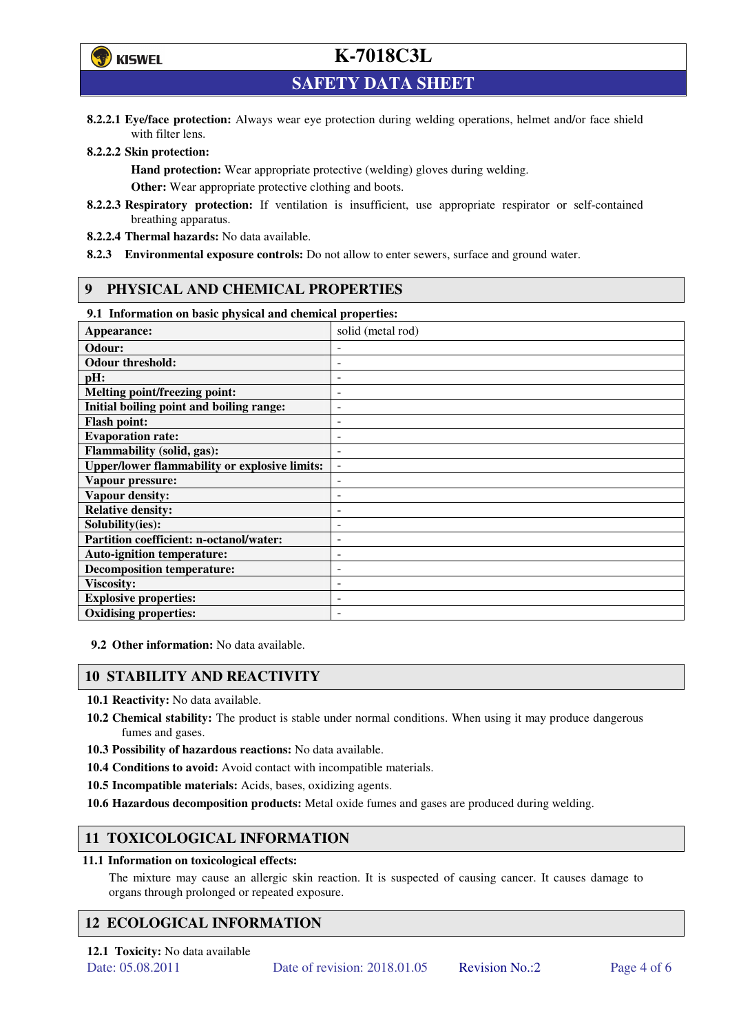

# **K-7018C3L**

**SAFETY DATA SHEET** 

**8.2.2.1 Eye/face protection:** Always wear eye protection during welding operations, helmet and/or face shield with filter lens.

#### **8.2.2.2 Skin protection:**

**Hand protection:** Wear appropriate protective (welding) gloves during welding. **Other:** Wear appropriate protective clothing and boots.

- **8.2.2.3 Respiratory protection:** If ventilation is insufficient, use appropriate respirator or self-contained breathing apparatus.
- **8.2.2.4 Thermal hazards:** No data available.
- **8.2.3 Environmental exposure controls:** Do not allow to enter sewers, surface and ground water.

## **9 PHYSICAL AND CHEMICAL PROPERTIES**

## **9.1 Information on basic physical and chemical properties:**

| 2.1 - 111101 matron on basic physical and chemical properties. |                              |
|----------------------------------------------------------------|------------------------------|
| Appearance:                                                    | solid (metal rod)            |
| Odour:                                                         |                              |
| <b>Odour threshold:</b>                                        |                              |
| pH:                                                            | ۰                            |
| <b>Melting point/freezing point:</b>                           | ۰                            |
| Initial boiling point and boiling range:                       | $\qquad \qquad \blacksquare$ |
| <b>Flash point:</b>                                            | ٠                            |
| <b>Evaporation rate:</b>                                       | $\overline{a}$               |
| Flammability (solid, gas):                                     | ٠                            |
| <b>Upper/lower flammability or explosive limits:</b>           | $\overline{\phantom{a}}$     |
| Vapour pressure:                                               | $\overline{\phantom{a}}$     |
| Vapour density:                                                | ٠                            |
| <b>Relative density:</b>                                       |                              |
| Solubility(ies):                                               |                              |
| Partition coefficient: n-octanol/water:                        | $\qquad \qquad \blacksquare$ |
| <b>Auto-ignition temperature:</b>                              | ۰                            |
| <b>Decomposition temperature:</b>                              | ٠                            |
| <b>Viscosity:</b>                                              |                              |
| <b>Explosive properties:</b>                                   | ٠                            |
| <b>Oxidising properties:</b>                                   | $\qquad \qquad -$            |

**9.2 Other information:** No data available.

### **10 STABILITY AND REACTIVITY**

**10.1 Reactivity:** No data available.

- **10.2 Chemical stability:** The product is stable under normal conditions. When using it may produce dangerous fumes and gases.
- **10.3 Possibility of hazardous reactions:** No data available.
- **10.4 Conditions to avoid:** Avoid contact with incompatible materials.
- **10.5 Incompatible materials:** Acids, bases, oxidizing agents.
- **10.6 Hazardous decomposition products:** Metal oxide fumes and gases are produced during welding.

## **11 TOXICOLOGICAL INFORMATION**

#### **11.1 Information on toxicological effects:**

The mixture may cause an allergic skin reaction. It is suspected of causing cancer. It causes damage to organs through prolonged or repeated exposure.

## **12 ECOLOGICAL INFORMATION**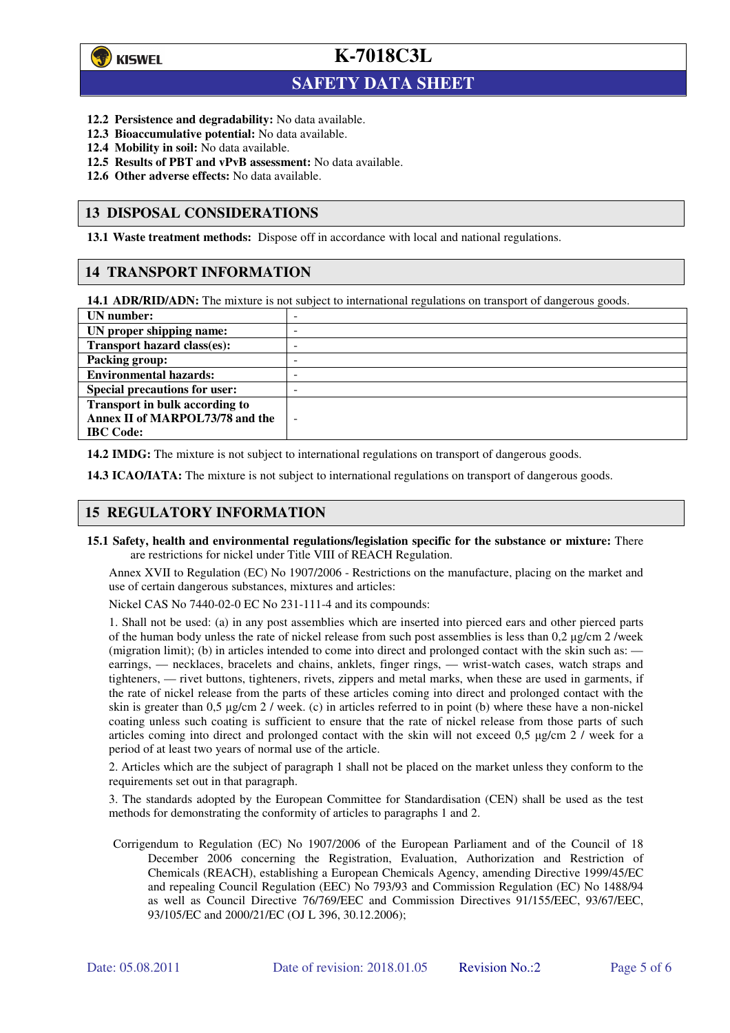

 $\overline{a}$ 

**K-7018C3L**

## **SAFETY DATA SHEET**

- **12.2 Persistence and degradability:** No data available.
- **12.3 Bioaccumulative potential:** No data available.
- **12.4 Mobility in soil:** No data available.
- **12.5 Results of PBT and vPvB assessment:** No data available.
- **12.6 Other adverse effects:** No data available.

### **13 DISPOSAL CONSIDERATIONS**

**13.1 Waste treatment methods:** Dispose off in accordance with local and national regulations.

### **14 TRANSPORT INFORMATION**

**14.1 ADR/RID/ADN:** The mixture is not subject to international regulations on transport of dangerous goods.

| UN number:                            | - |
|---------------------------------------|---|
| UN proper shipping name:              | - |
| Transport hazard class(es):           | - |
| <b>Packing group:</b>                 | - |
| <b>Environmental hazards:</b>         | - |
| <b>Special precautions for user:</b>  | - |
| <b>Transport in bulk according to</b> |   |
| Annex II of MARPOL73/78 and the       | - |
| <b>IBC</b> Code:                      |   |

**14.2 IMDG:** The mixture is not subject to international regulations on transport of dangerous goods.

**14.3 ICAO/IATA:** The mixture is not subject to international regulations on transport of dangerous goods.

## **15 REGULATORY INFORMATION**

**15.1 Safety, health and environmental regulations/legislation specific for the substance or mixture:** There are restrictions for nickel under Title VIII of REACH Regulation.

Annex XVII to Regulation (EC) No 1907/2006 - Restrictions on the manufacture, placing on the market and use of certain dangerous substances, mixtures and articles:

Nickel CAS No 7440-02-0 EC No 231-111-4 and its compounds:

1. Shall not be used: (a) in any post assemblies which are inserted into pierced ears and other pierced parts of the human body unless the rate of nickel release from such post assemblies is less than  $0.2 \mu$ g/cm  $2$ /week (migration limit); (b) in articles intended to come into direct and prolonged contact with the skin such as: earrings, — necklaces, bracelets and chains, anklets, finger rings, — wrist-watch cases, watch straps and tighteners, — rivet buttons, tighteners, rivets, zippers and metal marks, when these are used in garments, if the rate of nickel release from the parts of these articles coming into direct and prolonged contact with the skin is greater than 0,5 µg/cm 2 / week. (c) in articles referred to in point (b) where these have a non-nickel coating unless such coating is sufficient to ensure that the rate of nickel release from those parts of such articles coming into direct and prolonged contact with the skin will not exceed 0,5 µg/cm 2 / week for a period of at least two years of normal use of the article.

2. Articles which are the subject of paragraph 1 shall not be placed on the market unless they conform to the requirements set out in that paragraph.

3. The standards adopted by the European Committee for Standardisation (CEN) shall be used as the test methods for demonstrating the conformity of articles to paragraphs 1 and 2.

Corrigendum to Regulation (EC) No 1907/2006 of the European Parliament and of the Council of 18 December 2006 concerning the Registration, Evaluation, Authorization and Restriction of Chemicals (REACH), establishing a European Chemicals Agency, amending Directive 1999/45/EC and repealing Council Regulation (EEC) No 793/93 and Commission Regulation (EC) No 1488/94 as well as Council Directive 76/769/EEC and Commission Directives 91/155/EEC, 93/67/EEC, 93/105/EC and 2000/21/EC (OJ L 396, 30.12.2006);